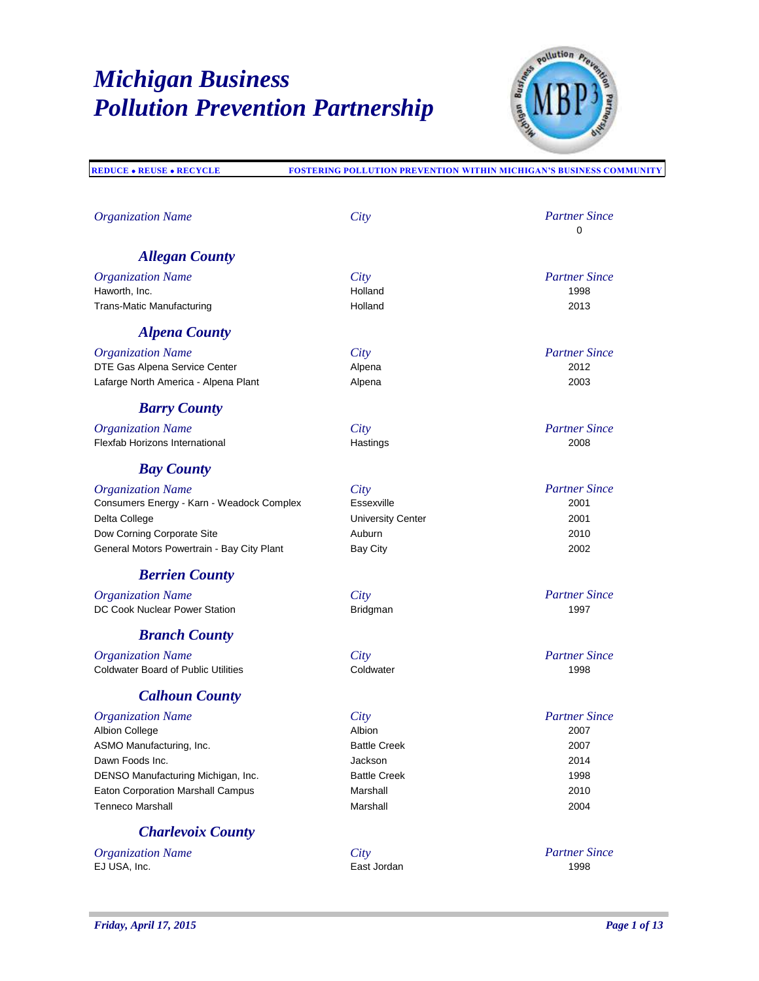

**REDUCE REUSE RECYCLE FOSTERING POLLUTION PREVENTION WITHIN MICHIGAN'S BUSINESS COMMUNITY**

| <b>Organization Name</b>                   | City                     | <b>Partner Since</b><br>0 |
|--------------------------------------------|--------------------------|---------------------------|
| <b>Allegan County</b>                      |                          |                           |
| <b>Organization Name</b>                   | City                     | <b>Partner Since</b>      |
| Haworth, Inc.                              | Holland                  | 1998                      |
| Trans-Matic Manufacturing                  | Holland                  | 2013                      |
| <b>Alpena County</b>                       |                          |                           |
| <b>Organization Name</b>                   | City                     | <b>Partner Since</b>      |
| DTE Gas Alpena Service Center              | Alpena                   | 2012                      |
| Lafarge North America - Alpena Plant       | Alpena                   | 2003                      |
| <b>Barry County</b>                        |                          |                           |
| <b>Organization Name</b>                   | City                     | <b>Partner Since</b>      |
| Flexfab Horizons International             | Hastings                 | 2008                      |
| <b>Bay County</b>                          |                          |                           |
| <b>Organization Name</b>                   | City                     | <b>Partner Since</b>      |
| Consumers Energy - Karn - Weadock Complex  | Essexville               | 2001                      |
| Delta College                              | <b>University Center</b> | 2001                      |
| Dow Corning Corporate Site                 | Auburn                   | 2010                      |
| General Motors Powertrain - Bay City Plant | <b>Bay City</b>          | 2002                      |
| <b>Berrien County</b>                      |                          |                           |
| <b>Organization Name</b>                   | City                     | <b>Partner Since</b>      |
| DC Cook Nuclear Power Station              | Bridgman                 | 1997                      |
| <b>Branch County</b>                       |                          |                           |
| <b>Organization Name</b>                   | City                     | <b>Partner Since</b>      |
| <b>Coldwater Board of Public Utilities</b> | Coldwater                | 1998                      |
| <b>Calhoun County</b>                      |                          |                           |
| <b>Organization Name</b>                   | City                     | <b>Partner Since</b>      |
| <b>Albion College</b>                      | Albion                   | 2007                      |
| ASMO Manufacturing, Inc.                   | <b>Battle Creek</b>      | 2007                      |
| Dawn Foods Inc.                            | Jackson                  | 2014                      |
| DENSO Manufacturing Michigan, Inc.         | <b>Battle Creek</b>      | 1998                      |
| Eaton Corporation Marshall Campus          | Marshall                 | 2010                      |
| <b>Tenneco Marshall</b>                    | Marshall                 | 2004                      |
| <b>Charlevoix County</b>                   |                          |                           |
| <b>Organization Name</b>                   | City                     | <b>Partner Since</b>      |

EJ USA, Inc. East Jordan 1998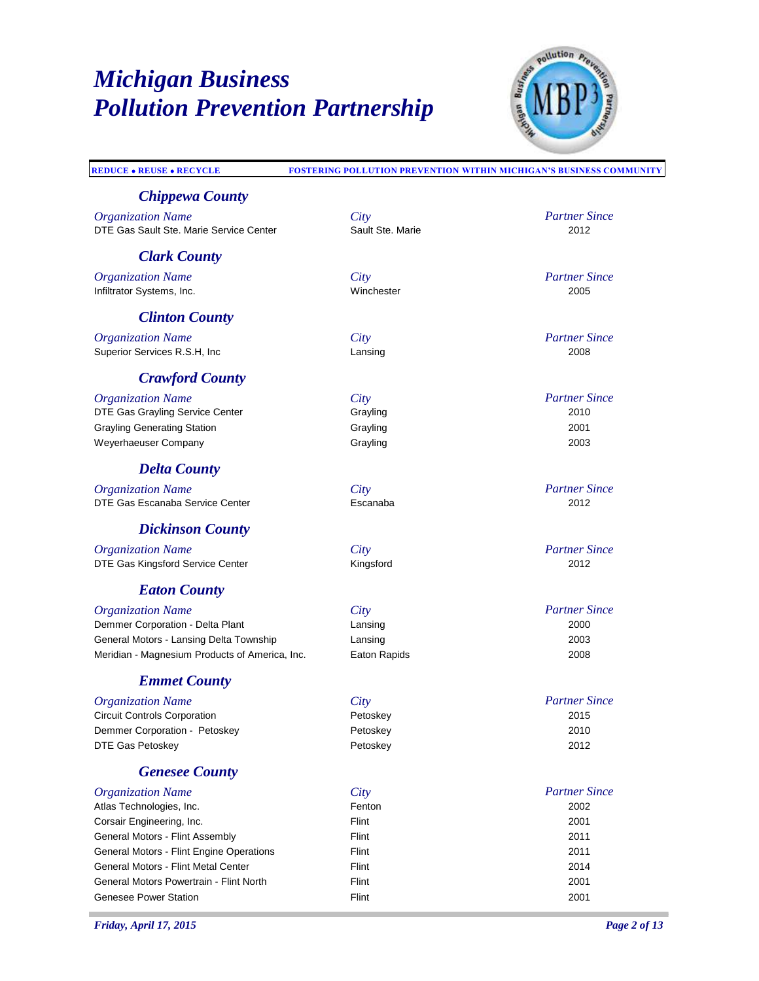

| <b>REDUCE . REUSE . RECYCLE</b>                | <b>FOSTERING POLLUTION PREVENTION WITHIN MICHIGAN'S BUSINESS COMMUNITY</b> |                      |
|------------------------------------------------|----------------------------------------------------------------------------|----------------------|
| <b>Chippewa County</b>                         |                                                                            |                      |
| <b>Organization Name</b>                       | City                                                                       | <b>Partner Since</b> |
| DTE Gas Sault Ste. Marie Service Center        | Sault Ste. Marie                                                           | 2012                 |
| <b>Clark County</b>                            |                                                                            |                      |
| <b>Organization Name</b>                       | City                                                                       | <b>Partner Since</b> |
| Infiltrator Systems, Inc.                      | Winchester                                                                 | 2005                 |
| <b>Clinton County</b>                          |                                                                            |                      |
| <b>Organization Name</b>                       | City                                                                       | <b>Partner Since</b> |
| Superior Services R.S.H, Inc                   | Lansing                                                                    | 2008                 |
| <b>Crawford County</b>                         |                                                                            |                      |
| <b>Organization Name</b>                       | City                                                                       | <b>Partner Since</b> |
| DTE Gas Grayling Service Center                | Grayling                                                                   | 2010                 |
| <b>Grayling Generating Station</b>             | Grayling                                                                   | 2001                 |
| Weyerhaeuser Company                           | Grayling                                                                   | 2003                 |
| <b>Delta County</b>                            |                                                                            |                      |
| <b>Organization Name</b>                       | City                                                                       | <b>Partner Since</b> |
| DTE Gas Escanaba Service Center                | Escanaba                                                                   | 2012                 |
| <b>Dickinson County</b>                        |                                                                            |                      |
| <b>Organization Name</b>                       | City                                                                       | <b>Partner Since</b> |
| DTE Gas Kingsford Service Center               | Kingsford                                                                  | 2012                 |
| <b>Eaton County</b>                            |                                                                            |                      |
| <b>Organization Name</b>                       | City                                                                       | <b>Partner Since</b> |
| Demmer Corporation - Delta Plant               | Lansing                                                                    | 2000                 |
| General Motors - Lansing Delta Township        | Lansing                                                                    | 2003                 |
| Meridian - Magnesium Products of America, Inc. | Eaton Rapids                                                               | 2008                 |
| <b>Emmet County</b>                            |                                                                            |                      |
| <b>Organization Name</b>                       | City                                                                       | <b>Partner Since</b> |
| <b>Circuit Controls Corporation</b>            | Petoskey                                                                   | 2015                 |
| Demmer Corporation - Petoskey                  | Petoskey                                                                   | 2010                 |
| <b>DTE Gas Petoskey</b>                        | Petoskey                                                                   | 2012                 |
| <b>Genesee County</b>                          |                                                                            |                      |
| <b>Organization Name</b>                       | City                                                                       | <b>Partner Since</b> |
| Atlas Technologies, Inc.                       | Fenton                                                                     | 2002                 |
| Corsair Engineering, Inc.                      | Flint                                                                      | 2001                 |
| General Motors - Flint Assembly                | Flint                                                                      | 2011                 |
| General Motors - Flint Engine Operations       | Flint                                                                      | 2011                 |
| General Motors - Flint Metal Center            | Flint                                                                      | 2014                 |
| General Motors Powertrain - Flint North        | Flint                                                                      | 2001                 |

Genesee Power Station **Flint** Flint **CONSISTENT CONSISTENT** 2001

T.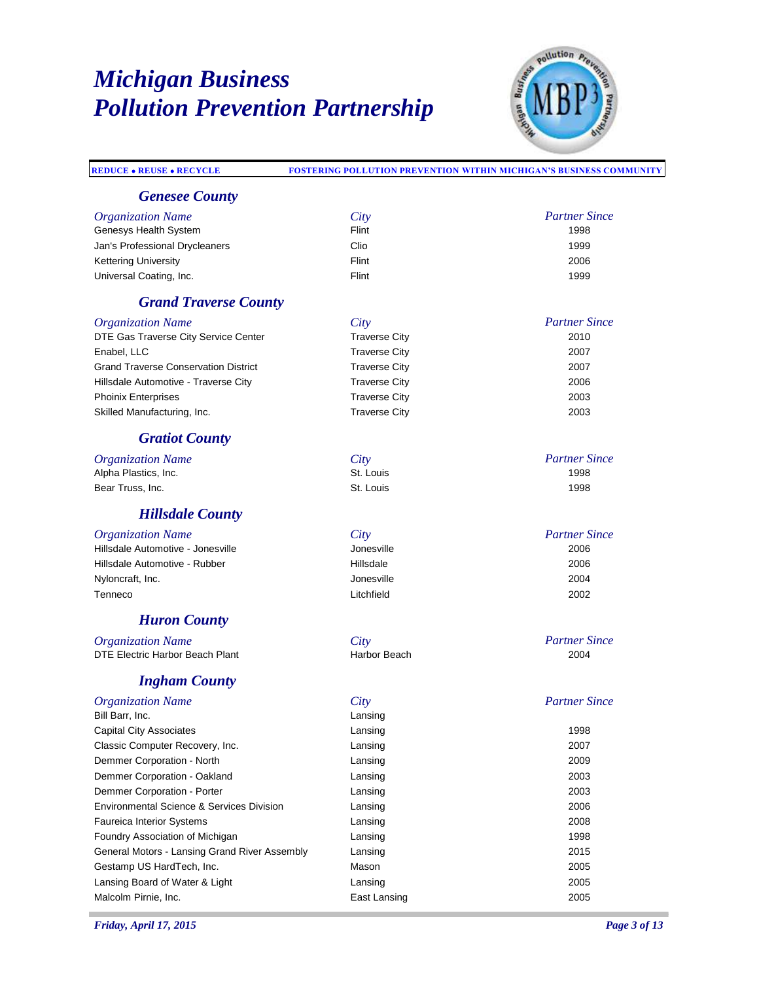

| <b>REDUCE . REUSE . RECYCLE</b>                      | <b>FOSTERING POLLUTION PREVENTION WITHIN MICHIGAN'S BUSINESS COMMUNITY</b> |                      |
|------------------------------------------------------|----------------------------------------------------------------------------|----------------------|
| <b>Genesee County</b>                                |                                                                            |                      |
| <b>Organization Name</b>                             | City                                                                       | <b>Partner Since</b> |
| Genesys Health System                                | Flint                                                                      | 1998                 |
| Jan's Professional Drycleaners                       | Clio                                                                       | 1999                 |
| <b>Kettering University</b>                          | Flint                                                                      | 2006                 |
| Universal Coating, Inc.                              | Flint                                                                      | 1999                 |
| <b>Grand Traverse County</b>                         |                                                                            |                      |
| <b>Organization Name</b>                             | City                                                                       | <b>Partner Since</b> |
| DTE Gas Traverse City Service Center                 | <b>Traverse City</b>                                                       | 2010                 |
| Enabel, LLC                                          | <b>Traverse City</b>                                                       | 2007                 |
| <b>Grand Traverse Conservation District</b>          | <b>Traverse City</b>                                                       | 2007                 |
| Hillsdale Automotive - Traverse City                 | <b>Traverse City</b>                                                       | 2006                 |
| <b>Phoinix Enterprises</b>                           | <b>Traverse City</b>                                                       | 2003                 |
| Skilled Manufacturing, Inc.                          | <b>Traverse City</b>                                                       | 2003                 |
|                                                      |                                                                            |                      |
| <b>Gratiot County</b>                                |                                                                            |                      |
| <b>Organization Name</b>                             | City                                                                       | <b>Partner Since</b> |
| Alpha Plastics, Inc.                                 | St. Louis                                                                  | 1998                 |
| Bear Truss, Inc.                                     | St. Louis                                                                  | 1998                 |
| <b>Hillsdale County</b>                              |                                                                            |                      |
| <b>Organization Name</b>                             | City                                                                       | <b>Partner Since</b> |
| Hillsdale Automotive - Jonesville                    | Jonesville                                                                 | 2006                 |
| Hillsdale Automotive - Rubber                        | Hillsdale                                                                  | 2006                 |
| Nyloncraft, Inc.                                     | Jonesville                                                                 | 2004                 |
| Tenneco                                              | Litchfield                                                                 | 2002                 |
| <b>Huron County</b>                                  |                                                                            |                      |
| <b>Organization Name</b>                             | City                                                                       | <b>Partner Since</b> |
| DTE Electric Harbor Beach Plant                      | Harbor Beach                                                               | 2004                 |
| <b>Ingham County</b>                                 |                                                                            |                      |
| <b>Organization Name</b>                             | City                                                                       | <b>Partner Since</b> |
| Bill Barr, Inc.                                      | Lansing                                                                    |                      |
| <b>Capital City Associates</b>                       | Lansing                                                                    | 1998                 |
| Classic Computer Recovery, Inc.                      | Lansing                                                                    | 2007                 |
| Demmer Corporation - North                           | Lansing                                                                    | 2009                 |
| Demmer Corporation - Oakland                         | Lansing                                                                    | 2003                 |
| Demmer Corporation - Porter                          | Lansing                                                                    | 2003                 |
| <b>Environmental Science &amp; Services Division</b> | Lansing                                                                    | 2006                 |
| <b>Faureica Interior Systems</b>                     | Lansing                                                                    | 2008                 |
|                                                      | Lansing                                                                    | 1998                 |
| Foundry Association of Michigan                      |                                                                            |                      |
| General Motors - Lansing Grand River Assembly        | Lansing                                                                    | 2015                 |

Gestamp US HardTech, Inc. **Mason** Mason 2005 Lansing Board of Water & Light Lansing 2005 Malcolm Pirnie, Inc. 2005 and the Case of Lansing East Lansing 2005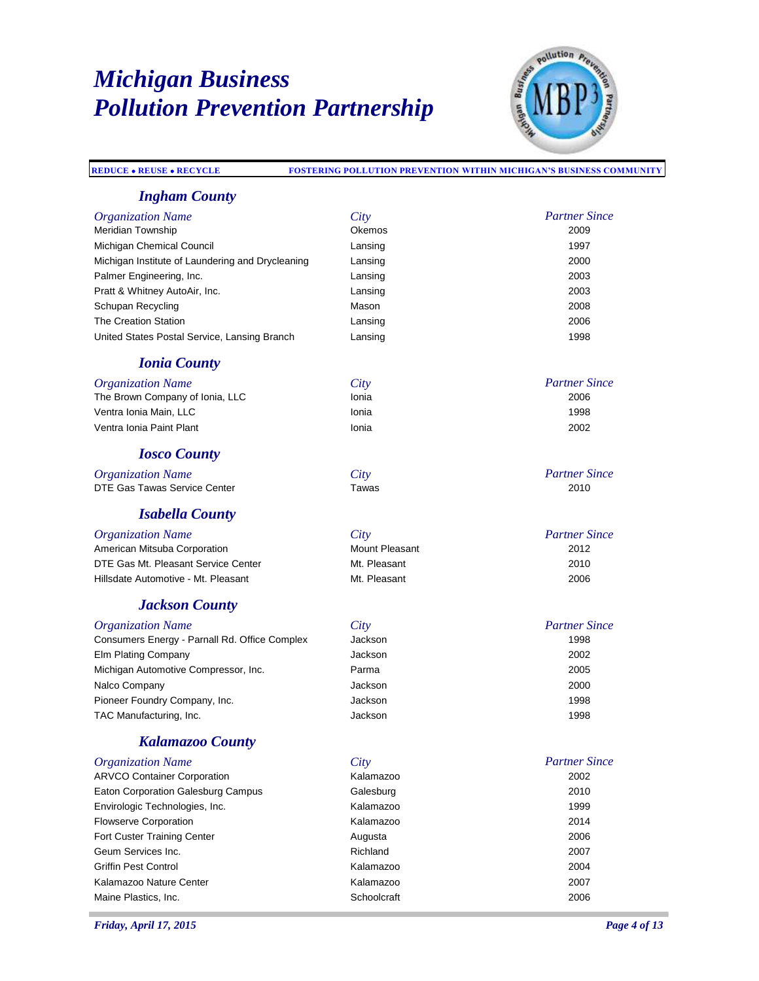*Ingham County*



#### *Partner Since Organization Name City* Meridian Township Okemos 2009 Michigan Chemical Council **Lansing Lansing** 1997 Michigan Institute of Laundering and Drycleaning Lansing 2000 Palmer Engineering, Inc. **Lansing 2003 Lansing 2003** Pratt & Whitney AutoAir, Inc. Lansing 2003 Schupan Recycling **Mason** Mason 2008 The Creation Station **Contract Contract Contract Contract Contract Contract Contract Contract Contract Contract Contract Contract Contract Contract Contract Contract Contract Contract Contract Contract Contract Contract Co** United States Postal Service, Lansing Branch Lansing 1998 *Partner Since Ionia County Organization Name City* The Brown Company of Ionia, LLC **Internal 2006** Ionia Ventra Ionia Main, LLC Ionia 1998 Ventra Ionia Paint Plant Ionia 2002 *Partner Since Iosco County Organization Name City* DTE Gas Tawas Service Center Tawas *Partner Since Isabella County Organization Name City* American Mitsuba Corporation **Mount Pleasant** Mount Pleasant 2012 DTE Gas Mt. Pleasant Service Center Mt. Pleasant 2010 Hillsdate Automotive - Mt. Pleasant Mt. Pleasant 2006 *Partner Since Jackson County Organization Name City* Consumers Energy - Parnall Rd. Office Complex Elm Plating Company Jackson 2002 Michigan Automotive Compressor, Inc. Parma 2005 Nalco Company Jackson 2000 Pioneer Foundry Company, Inc. **Company** and Company and Company and Company and Company and Company and Company and Company and Company and Company and Company and Company and Company and Company and Company and Company an TAC Manufacturing, Inc. The Contract of the United States of the United States of the 1998 of the 1998

**REDUCE REUSE RECYCLE FOSTERING POLLUTION PREVENTION WITHIN MICHIGAN'S BUSINESS COMMUNITY**

### *Kalamazoo County*

| <b>Organization Name</b>           | City        | <b>Partner Since</b> |
|------------------------------------|-------------|----------------------|
| <b>ARVCO Container Corporation</b> | Kalamazoo   | 2002                 |
| Eaton Corporation Galesburg Campus | Galesburg   | 2010                 |
| Envirologic Technologies, Inc.     | Kalamazoo   | 1999                 |
| <b>Flowserve Corporation</b>       | Kalamazoo   | 2014                 |
| Fort Custer Training Center        | Augusta     | 2006                 |
| Geum Services Inc.                 | Richland    | 2007                 |
| Griffin Pest Control               | Kalamazoo   | 2004                 |
| Kalamazoo Nature Center            | Kalamazoo   | 2007                 |
| Maine Plastics, Inc.               | Schoolcraft | 2006                 |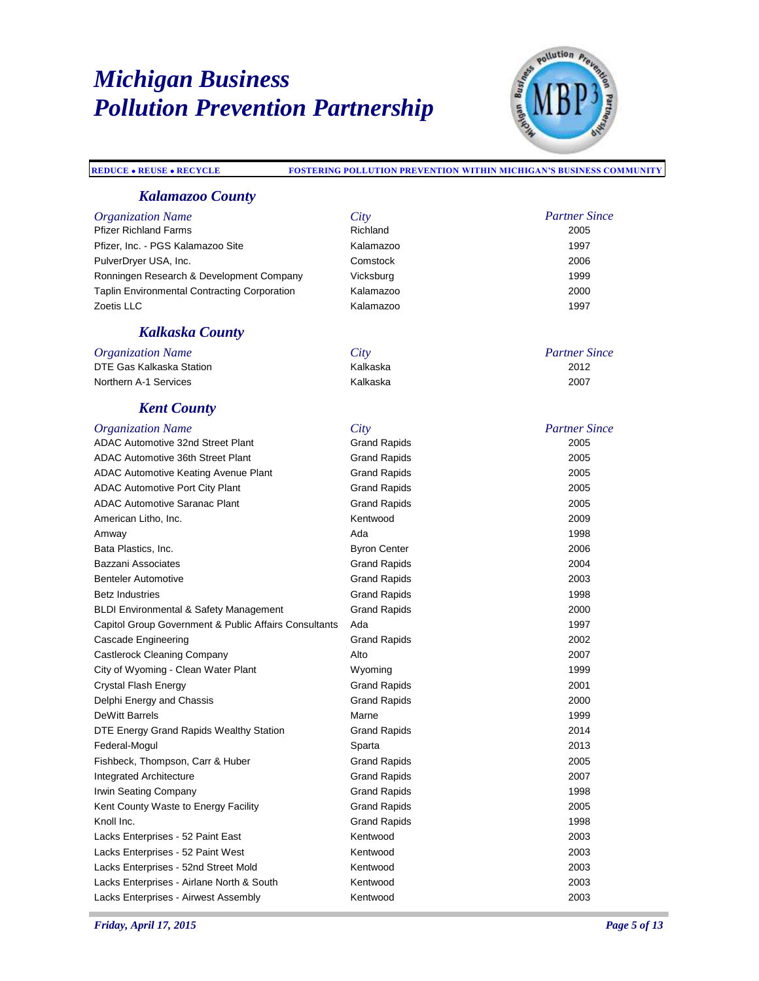

*Partner Since*

*Partner Since*

#### **REDUCE REUSE RECYCLE FOSTERING POLLUTION PREVENTION WITHIN MICHIGAN'S BUSINESS COMMUNITY**

#### *Kalamazoo County*

| <b>Organization Name</b>                            | City      | Partner: |
|-----------------------------------------------------|-----------|----------|
| <b>Pfizer Richland Farms</b>                        | Richland  | 2005     |
| Pfizer, Inc. - PGS Kalamazoo Site                   | Kalamazoo | 1997     |
| PulverDryer USA, Inc.                               | Comstock  | 2006     |
| Ronningen Research & Development Company            | Vicksburg | 1999     |
| <b>Taplin Environmental Contracting Corporation</b> | Kalamazoo | 2000     |
| Zoetis LLC                                          | Kalamazoo | 1997     |

### *Kalkaska County*

*Organization Name City* DTE Gas Kalkaska Station 1988 (Kalkaska 2012 Kalkaska 2012 Kalkaska 2012 Kalkaska 2012 Kaléndhara 2012 Kaléndhara 2012 Kaléndhara 2012 Kaléndhara 2012 Kaléndhara 2012 Kaléndhara 2012 Kaléndhara 2012 Kaléndhara 2012 Kaléndh Northern A-1 Services **Contract Contract Contract Contract Contract Contract Contract Contract Contract Contract Contract Contract Contract Contract Contract Contract Contract Contract Contract Contract Contract Contract C** 

#### *Kent County*

#### *Partner Since Organization Name City* ADAC Automotive 32nd Street Plant **Crand Rapids** Grand Rapids 2005 ADAC Automotive 36th Street Plant Communication Crand Rapids 2005 ADAC Automotive Keating Avenue Plant **Grand Rapids Constant Canadian Constant Constant Constant Constant Constant** Constant Constant Constant Constant Constant Constant Constant Constant Constant Constant Constant Consta ADAC Automotive Port City Plant Carries and Rapids Crand Rapids 2005 ADAC Automotive Saranac Plant Charles Controllery Canad Rapids Controllery 2005 American Litho, Inc. **American Litho, Inc. American Litho, Inc.** 2009 Amway Ada 1998 Bata Plastics, Inc. **Byron Center** 2006 Bazzani Associates Grand Rapids 2004 Benteler Automotive **Contract Contract Contract Contract Contract Contract Contract Contract Contract Contract Contract Contract Contract Contract Contract Contract Contract Contract Contract Contract Contract Contract Con** Betz Industries **Grand Rapids** Grand Rapids **Grand Rapids** 1998 BLDI Environmental & Safety Management Grand Rapids 2000 Capitol Group Government & Public Affairs Consultants Ada 1997 Cascade Engineering **Cascade Engineering** Crand Rapids **Cascade Engineering** 2002 Castlerock Cleaning Company **Alto** 2007 **Alto** 2007 City of Wyoming - Clean Water Plant Wyoming 1999 Crystal Flash Energy Grand Rapids 2001 Delphi Energy and Chassis Grand Rapids 2000 DeWitt Barrels **Marne** Marne 1999 DTE Energy Grand Rapids Wealthy Station Grand Rapids Crand Rapids 2014 **Federal-Mogul 2013 Sparta** 2013 Fishbeck, Thompson, Carr & Huber Grand Rapids Carr Grand Rapids 2005 Integrated Architecture Grand Rapids 2007 Irwin Seating Company **Grand Rapids** Grand Rapids **Company** 1998 Kent County Waste to Energy Facility **Container County County County View Act 2005** Knoll Inc. Grand Rapids 1998 Lacks Enterprises - 52 Paint East **Canadian Control Control Control Control Control Control Control Control Control Control Control Control Control Control Control Control Control Control Control Control Control Control Co** Lacks Enterprises - 52 Paint West **Contract Contract Contract Contract Contract Contract Contract Contract Contra** Lacks Enterprises - 52nd Street Mold Kentwood 2003 Lacks Enterprises - Airlane North & South **Kentwood Kentwood** 2003 Lacks Enterprises - Airwest Assembly **Community Community** Kentwood **2003** 2003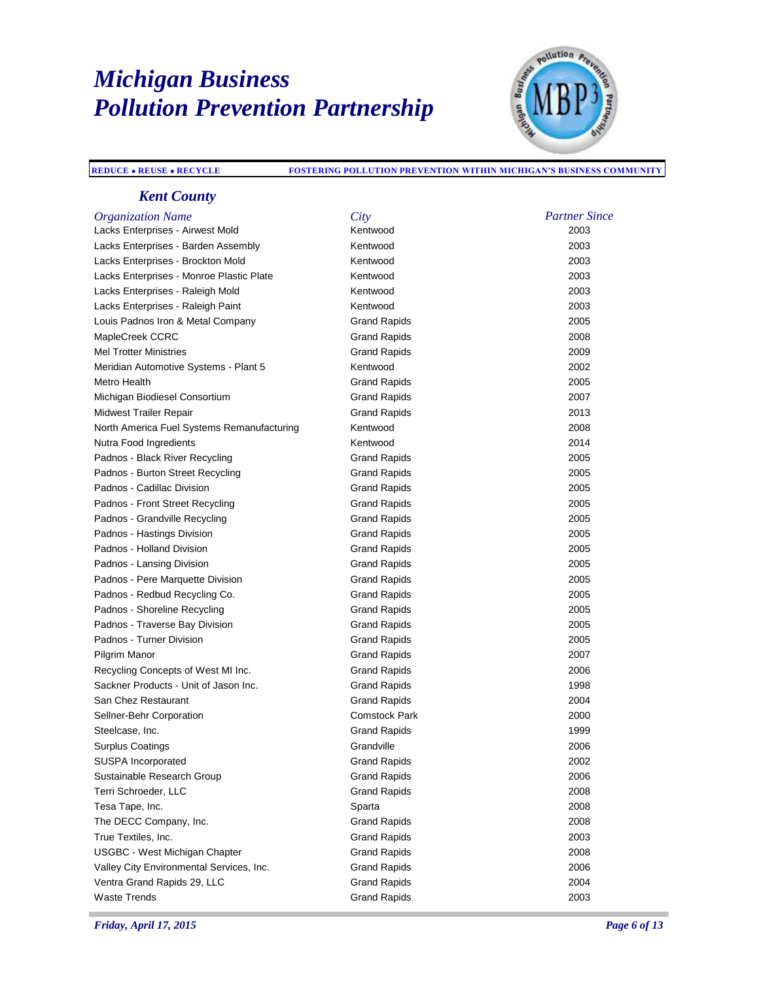

#### **REDUCE REUSE RECYCLE FOSTERING POLLUTION PREVENTION WITHIN MICHIGAN'S BUSINESS COMMUNITY**

### *Kent County*

| <b>Organization Name</b>                   | City                 | <b>Partner Since</b> |
|--------------------------------------------|----------------------|----------------------|
| Lacks Enterprises - Airwest Mold           | Kentwood             | 2003                 |
| Lacks Enterprises - Barden Assembly        | Kentwood             | 2003                 |
| Lacks Enterprises - Brockton Mold          | Kentwood             | 2003                 |
| Lacks Enterprises - Monroe Plastic Plate   | Kentwood             | 2003                 |
| Lacks Enterprises - Raleigh Mold           | Kentwood             | 2003                 |
| Lacks Enterprises - Raleigh Paint          | Kentwood             | 2003                 |
| Louis Padnos Iron & Metal Company          | <b>Grand Rapids</b>  | 2005                 |
| MapleCreek CCRC                            | Grand Rapids         | 2008                 |
| <b>Mel Trotter Ministries</b>              | <b>Grand Rapids</b>  | 2009                 |
| Meridian Automotive Systems - Plant 5      | Kentwood             | 2002                 |
| Metro Health                               | <b>Grand Rapids</b>  | 2005                 |
| Michigan Biodiesel Consortium              | <b>Grand Rapids</b>  | 2007                 |
| Midwest Trailer Repair                     | <b>Grand Rapids</b>  | 2013                 |
| North America Fuel Systems Remanufacturing | Kentwood             | 2008                 |
| Nutra Food Ingredients                     | Kentwood             | 2014                 |
| Padnos - Black River Recycling             | <b>Grand Rapids</b>  | 2005                 |
| Padnos - Burton Street Recycling           | <b>Grand Rapids</b>  | 2005                 |
| Padnos - Cadillac Division                 | <b>Grand Rapids</b>  | 2005                 |
| Padnos - Front Street Recycling            | <b>Grand Rapids</b>  | 2005                 |
| Padnos - Grandville Recycling              | <b>Grand Rapids</b>  | 2005                 |
| Padnos - Hastings Division                 | <b>Grand Rapids</b>  | 2005                 |
| Padnos - Holland Division                  | Grand Rapids         | 2005                 |
| Padnos - Lansing Division                  | <b>Grand Rapids</b>  | 2005                 |
| Padnos - Pere Marquette Division           | <b>Grand Rapids</b>  | 2005                 |
| Padnos - Redbud Recycling Co.              | Grand Rapids         | 2005                 |
| Padnos - Shoreline Recycling               | <b>Grand Rapids</b>  | 2005                 |
| Padnos - Traverse Bay Division             | <b>Grand Rapids</b>  | 2005                 |
| Padnos - Turner Division                   | <b>Grand Rapids</b>  | 2005                 |
| Pilgrim Manor                              | <b>Grand Rapids</b>  | 2007                 |
| Recycling Concepts of West MI Inc.         | <b>Grand Rapids</b>  | 2006                 |
| Sackner Products - Unit of Jason Inc.      | <b>Grand Rapids</b>  | 1998                 |
| San Chez Restaurant                        | <b>Grand Rapids</b>  | 2004                 |
| Sellner-Behr Corporation                   | <b>Comstock Park</b> | 2000                 |
| Steelcase, Inc.                            | <b>Grand Rapids</b>  | 1999                 |
| <b>Surplus Coatings</b>                    | Grandville           | 2006                 |
| SUSPA Incorporated                         | Grand Rapids         | 2002                 |
| Sustainable Research Group                 | <b>Grand Rapids</b>  | 2006                 |
| Terri Schroeder, LLC                       | <b>Grand Rapids</b>  | 2008                 |
| Tesa Tape, Inc.                            | Sparta               | 2008                 |
| The DECC Company, Inc.                     | <b>Grand Rapids</b>  | 2008                 |
| True Textiles, Inc.                        | <b>Grand Rapids</b>  | 2003                 |
| <b>USGBC - West Michigan Chapter</b>       | <b>Grand Rapids</b>  | 2008                 |
| Valley City Environmental Services, Inc.   | <b>Grand Rapids</b>  | 2006                 |
| Ventra Grand Rapids 29, LLC                | <b>Grand Rapids</b>  | 2004                 |
| <b>Waste Trends</b>                        | <b>Grand Rapids</b>  | 2003                 |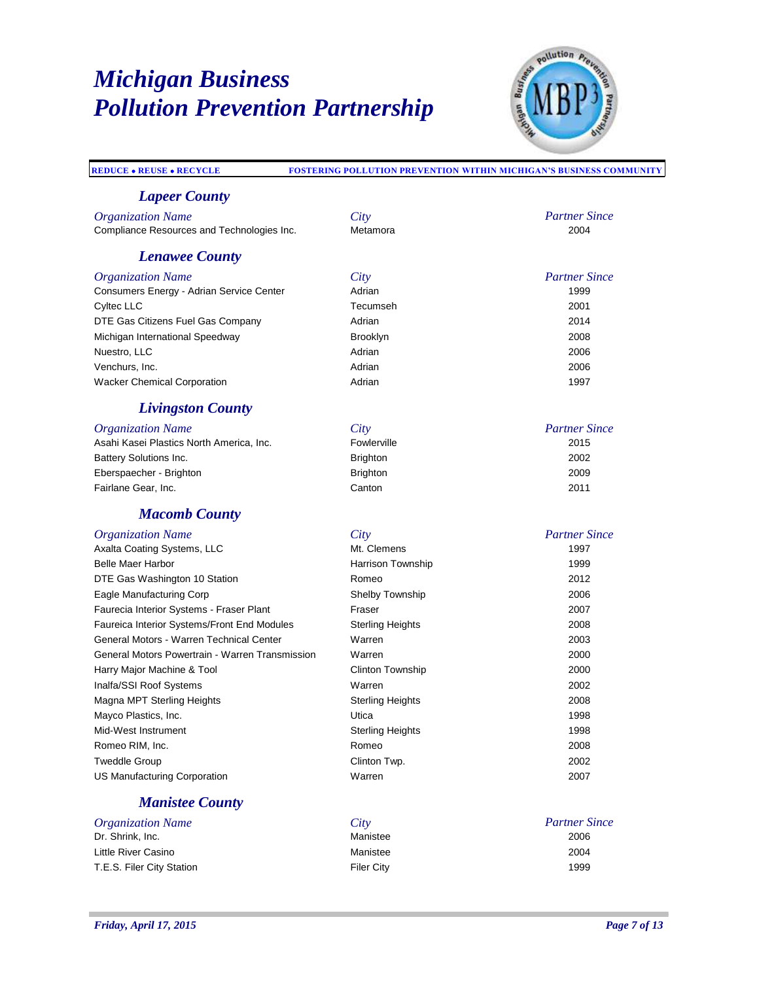

*Partner Since*

*Partner Since*

#### **REDUCE REUSE RECYCLE FOSTERING POLLUTION PREVENTION WITHIN MICHIGAN'S BUSINESS COMMUNITY**

#### *Lapeer County*

*Organization Name City* Compliance Resources and Technologies Inc.

#### *Lenawee County*

*Organization Name City* Consumers Energy - Adrian Service Center **Adrian 1999** Adrian 1999 Cyltec LLC Tecumseh 2001 DTE Gas Citizens Fuel Gas Company Adrian 2014 Michigan International Speedway Brooklyn 2008 Nuestro, LLC 2006 Venchurs, Inc. Adrian 2006 Wacker Chemical Corporation and a metal Adrian Adrian Adrian 1997

#### *Livingston County*

#### *Partner Since Organization Name City* Asahi Kasei Plastics North America, Inc. Battery Solutions Inc. Brighton 2002 Eberspaecher - Brighton Brighton 2009 Fairlane Gear, Inc. Canton 2011

#### *Macomb County*

| City                    | <b>Partner Since</b> |
|-------------------------|----------------------|
| Mt. Clemens             | 1997                 |
| Harrison Township       | 1999                 |
| Romeo                   | 2012                 |
| Shelby Township         | 2006                 |
| Fraser                  | 2007                 |
| <b>Sterling Heights</b> | 2008                 |
| Warren                  | 2003                 |
| Warren                  | 2000                 |
| <b>Clinton Township</b> | 2000                 |
| Warren                  | 2002                 |
| <b>Sterling Heights</b> | 2008                 |
| Utica                   | 1998                 |
| <b>Sterling Heights</b> | 1998                 |
| Romeo                   | 2008                 |
| Clinton Twp.            | 2002                 |
| Warren                  | 2007                 |
|                         |                      |

### *Manistee County*

| <i><b>Organization Name</b></i> | City              | <b>Partner Since</b> |
|---------------------------------|-------------------|----------------------|
| Dr. Shrink. Inc.                | Manistee          | 2006                 |
| Little River Casino             | Manistee          | 2004                 |
| T.E.S. Filer City Station       | <b>Filer City</b> | 1999                 |

*Friday, April 17, 2015 Page 7 of 13*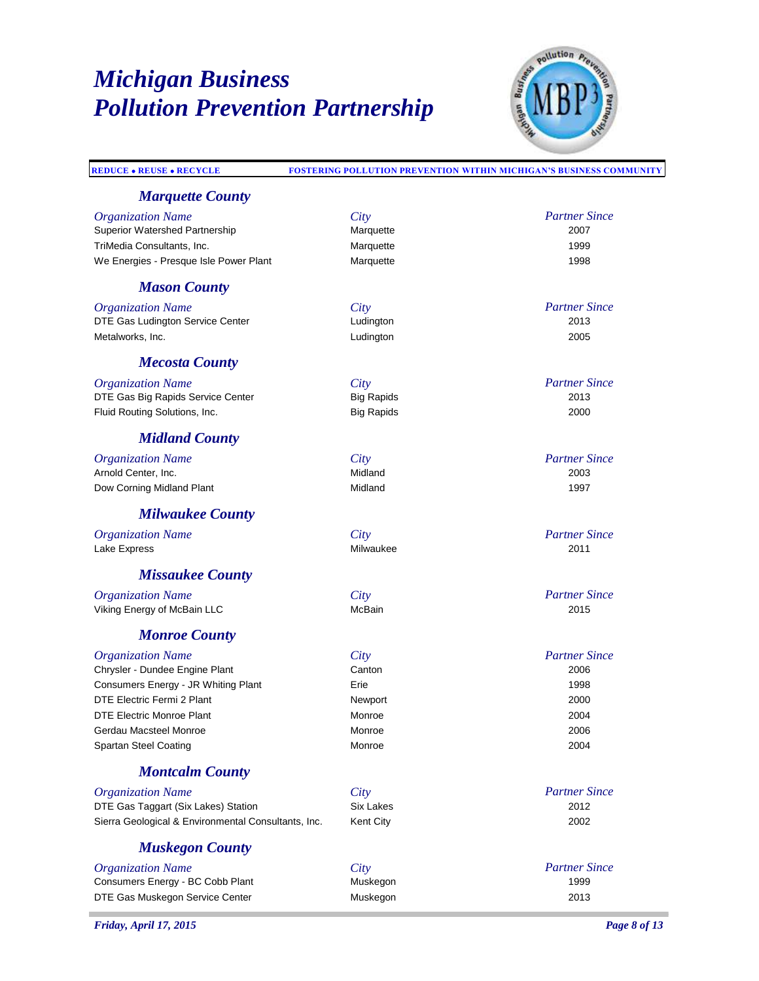

#### **REDUCE REUSE RECYCLE FOSTERING POLLUTION PREVENTION WITHIN MICHIGAN'S BUSINESS COMMUNITY** *Partner Since Marquette County Organization Name City* Superior Watershed Partnership **Marquette** Marquette 2007 TriMedia Consultants, Inc. Marquette 1999 We Energies - Presque Isle Power Plant Marquette Marquette 1998 *Partner Since Mason County Organization Name City* DTE Gas Ludington Service Center Ludington 2013 Metalworks, Inc. Ludington 2005 *Partner Since Mecosta County Organization Name City* DTE Gas Big Rapids Service Center **Big Rapids** 2014 Fluid Routing Solutions, Inc. Big Rapids 2000 *Partner Since Midland County Organization Name City* Arnold Center, Inc. Dow Corning Midland Plant **Midland 1997** Midland 1997 *Partner Since Milwaukee County Organization Name City* Lake Express Milwaukee 2011 *Partner Since Missaukee County Organization Name City* Viking Energy of McBain LLC **McBain 2015** McBain 2015 *Partner Since Monroe County Organization Name City* Chrysler - Dundee Engine Plant **Canton Canton 2006** Canton 2006 Consumers Energy - JR Whiting Plant **Erie** 1998 DTE Electric Fermi 2 Plant 2000 DTE Electric Monroe Plant **Monroe** Monroe 2004 Gerdau Macsteel Monroe Monroe 2006 Spartan Steel Coating **Monroe** 2004 *Partner Since Montcalm County*

*Organization Name City* DTE Gas Taggart (Six Lakes) Station Six Lakes 2012 Sierra Geological & Environmental Consultants, Inc. Kent City 2002

### *Muskegon County*

| <i><b>Organization Name</b></i>  | City     | Partner: |
|----------------------------------|----------|----------|
| Consumers Energy - BC Cobb Plant | Muskegon | 1999     |
| DTE Gas Muskegon Service Center  | Muskegon | 2013     |

*Partner Since*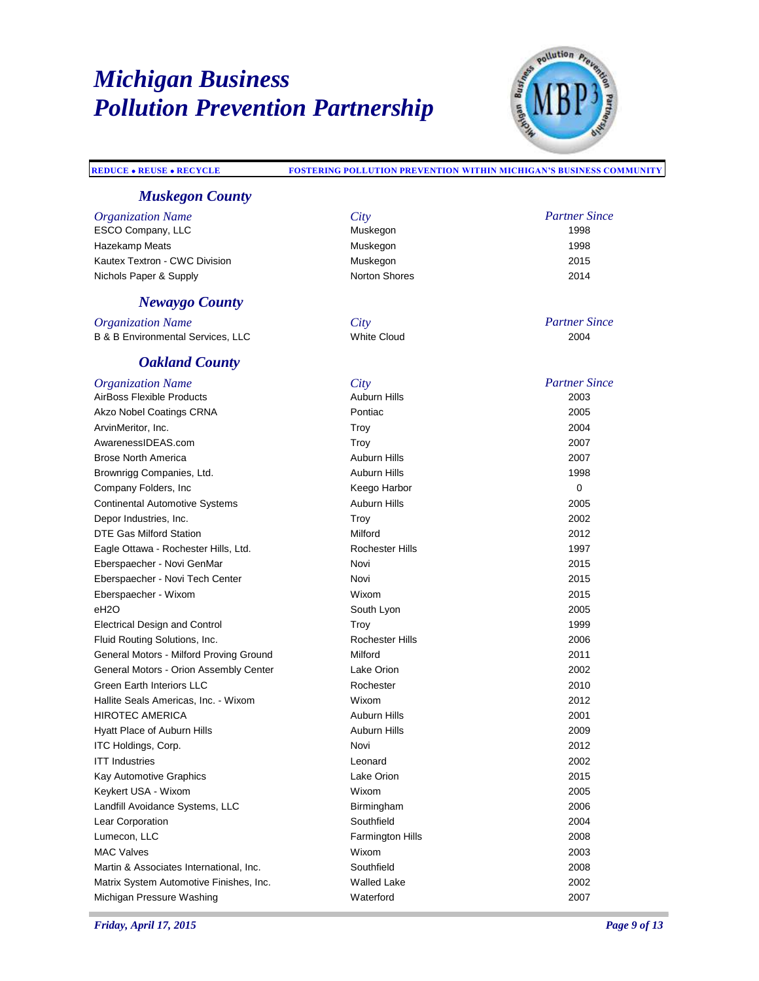

*Partner Since*

#### **REDUCE REUSE RECYCLE FOSTERING POLLUTION PREVENTION WITHIN MICHIGAN'S BUSINESS COMMUNITY**

### *Muskegon County*

*Organization Name City*<br> **ESCO Company LLC** 

ESCO Company, LLC **Muskegon** Muskegon 1998 Hazekamp Meats Muskegon 1998 Kautex Textron - CWC Division **Muskegon** Muskegon **2015** Nichols Paper & Supply Norton Shores 2014

#### *Newaygo County*

**Organization Name** B & B Environmental Services, LLC

#### *Oakland County*

| itv          |
|--------------|
| uskegon      |
| uskegon      |
| uskegon      |
| orton Shores |

| City        | <b>Partner Since</b> |
|-------------|----------------------|
| White Cloud | 2004                 |

| <b>Organization Name</b>                | City                    | <b>Partner Since</b> |
|-----------------------------------------|-------------------------|----------------------|
| <b>AirBoss Flexible Products</b>        | <b>Auburn Hills</b>     | 2003                 |
| Akzo Nobel Coatings CRNA                | Pontiac                 | 2005                 |
| ArvinMeritor, Inc.                      | Troy                    | 2004                 |
| AwarenessIDEAS.com                      | Troy                    | 2007                 |
| Brose North America                     | <b>Auburn Hills</b>     | 2007                 |
| Brownrigg Companies, Ltd.               | Auburn Hills            | 1998                 |
| Company Folders, Inc                    | Keego Harbor            | 0                    |
| <b>Continental Automotive Systems</b>   | <b>Auburn Hills</b>     | 2005                 |
| Depor Industries, Inc.                  | Troy                    | 2002                 |
| DTE Gas Milford Station                 | Milford                 | 2012                 |
| Eagle Ottawa - Rochester Hills, Ltd.    | <b>Rochester Hills</b>  | 1997                 |
| Eberspaecher - Novi GenMar              | Novi                    | 2015                 |
| Eberspaecher - Novi Tech Center         | Novi                    | 2015                 |
| Eberspaecher - Wixom                    | Wixom                   | 2015                 |
| eH2O                                    | South Lyon              | 2005                 |
| <b>Electrical Design and Control</b>    | Troy                    | 1999                 |
| Fluid Routing Solutions, Inc.           | <b>Rochester Hills</b>  | 2006                 |
| General Motors - Milford Proving Ground | Milford                 | 2011                 |
| General Motors - Orion Assembly Center  | Lake Orion              | 2002                 |
| Green Earth Interiors LLC               | Rochester               | 2010                 |
| Hallite Seals Americas, Inc. - Wixom    | Wixom                   | 2012                 |
| <b>HIROTEC AMERICA</b>                  | Auburn Hills            | 2001                 |
| Hyatt Place of Auburn Hills             | <b>Auburn Hills</b>     | 2009                 |
| ITC Holdings, Corp.                     | Novi                    | 2012                 |
| <b>ITT Industries</b>                   | Leonard                 | 2002                 |
| Kay Automotive Graphics                 | Lake Orion              | 2015                 |
| Keykert USA - Wixom                     | Wixom                   | 2005                 |
| Landfill Avoidance Systems, LLC         | Birmingham              | 2006                 |
| Lear Corporation                        | Southfield              | 2004                 |
| Lumecon, LLC                            | <b>Farmington Hills</b> | 2008                 |
| MAC Valves                              | Wixom                   | 2003                 |
| Martin & Associates International, Inc. | Southfield              | 2008                 |
| Matrix System Automotive Finishes, Inc. | <b>Walled Lake</b>      | 2002                 |
| Michigan Pressure Washing               | Waterford               | 2007                 |
|                                         |                         |                      |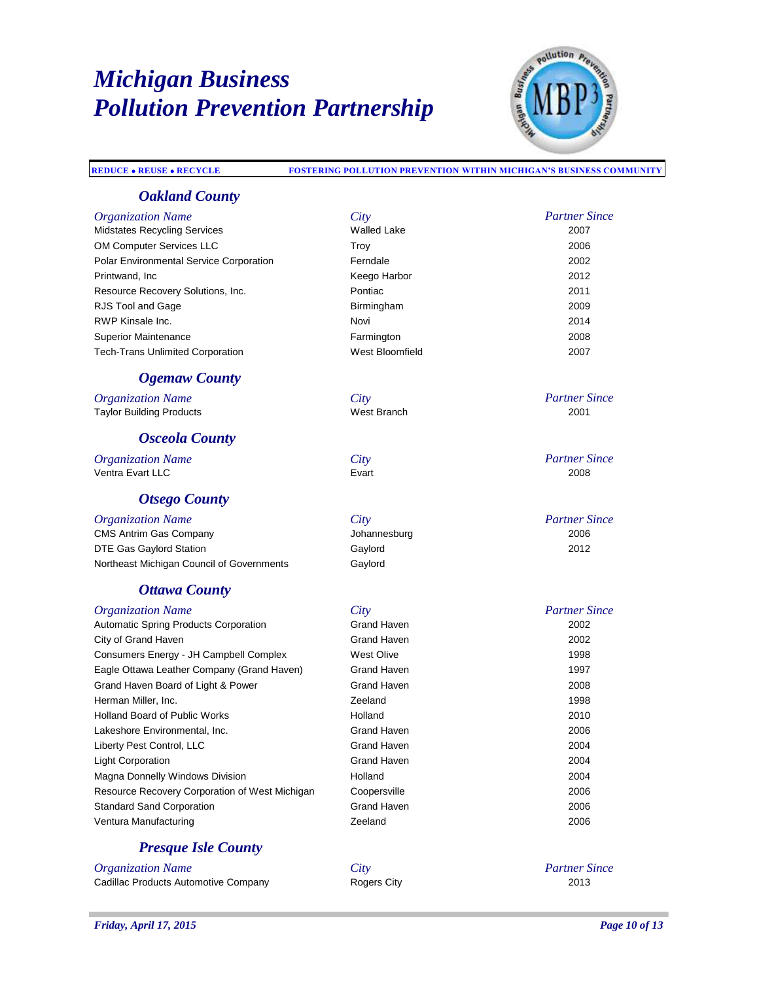

#### **REDUCE REUSE RECYCLE FOSTERING POLLUTION PREVENTION WITHIN MICHIGAN'S BUSINESS COMMUNITY**

#### *Oakland County*

| <b>Organization Name</b>                       | City               | <b>Partner Since</b> |
|------------------------------------------------|--------------------|----------------------|
| <b>Midstates Recycling Services</b>            | <b>Walled Lake</b> | 2007                 |
| <b>OM Computer Services LLC</b>                | Troy               | 2006                 |
| <b>Polar Environmental Service Corporation</b> | Ferndale           | 2002                 |
| Printwand, Inc.                                | Keego Harbor       | 2012                 |
| Resource Recovery Solutions, Inc.              | Pontiac            | 2011                 |
| RJS Tool and Gage                              | Birmingham         | 2009                 |
| RWP Kinsale Inc.                               | Novi               | 2014                 |
| <b>Superior Maintenance</b>                    | Farmington         | 2008                 |
| <b>Tech-Trans Unlimited Corporation</b>        | West Bloomfield    | 2007                 |
| <b>Ogemaw County</b>                           |                    |                      |
| <i><b>Organization Name</b></i>                | City               | <b>Partner Since</b> |
| <b>Taylor Building Products</b>                | West Branch        | 2001                 |
| <b>Osceola County</b>                          |                    |                      |

*Organization Name City*<br> **City**<br> **City**<br> **City**<br> **City** Ventra Evart LLC

#### *Otsego County*

| <i><b>Organization Name</b></i>           | City         | Partner: |
|-------------------------------------------|--------------|----------|
| <b>CMS Antrim Gas Company</b>             | Johannesburg | 2006     |
| DTE Gas Gaylord Station                   | Gavlord      | 2012     |
| Northeast Michigan Council of Governments | Gavlord      |          |

### *Ottawa County*

| <i><b>Organization Name</b></i>                | City               | <b>Partner Since</b> |
|------------------------------------------------|--------------------|----------------------|
| Automatic Spring Products Corporation          | <b>Grand Haven</b> | 2002                 |
| City of Grand Haven                            | Grand Haven        | 2002                 |
| Consumers Energy - JH Campbell Complex         | West Olive         | 1998                 |
| Eagle Ottawa Leather Company (Grand Haven)     | Grand Haven        | 1997                 |
| Grand Haven Board of Light & Power             | Grand Haven        | 2008                 |
| Herman Miller, Inc.                            | Zeeland            | 1998                 |
| <b>Holland Board of Public Works</b>           | Holland            | 2010                 |
| Lakeshore Environmental, Inc.                  | <b>Grand Haven</b> | 2006                 |
| Liberty Pest Control, LLC                      | <b>Grand Haven</b> | 2004                 |
| <b>Light Corporation</b>                       | <b>Grand Haven</b> | 2004                 |
| Magna Donnelly Windows Division                | Holland            | 2004                 |
| Resource Recovery Corporation of West Michigan | Coopersville       | 2006                 |
| <b>Standard Sand Corporation</b>               | <b>Grand Haven</b> | 2006                 |
| Ventura Manufacturing                          | Zeeland            | 2006                 |

### *Presque Isle County*

*Organization Name*<br> **City**<br> **Cadillac Products Automotive Company Called Branch Rogers City** Cadillac Products Automotive Company

*Partner Since*

*Partner Since*

*Partner Since*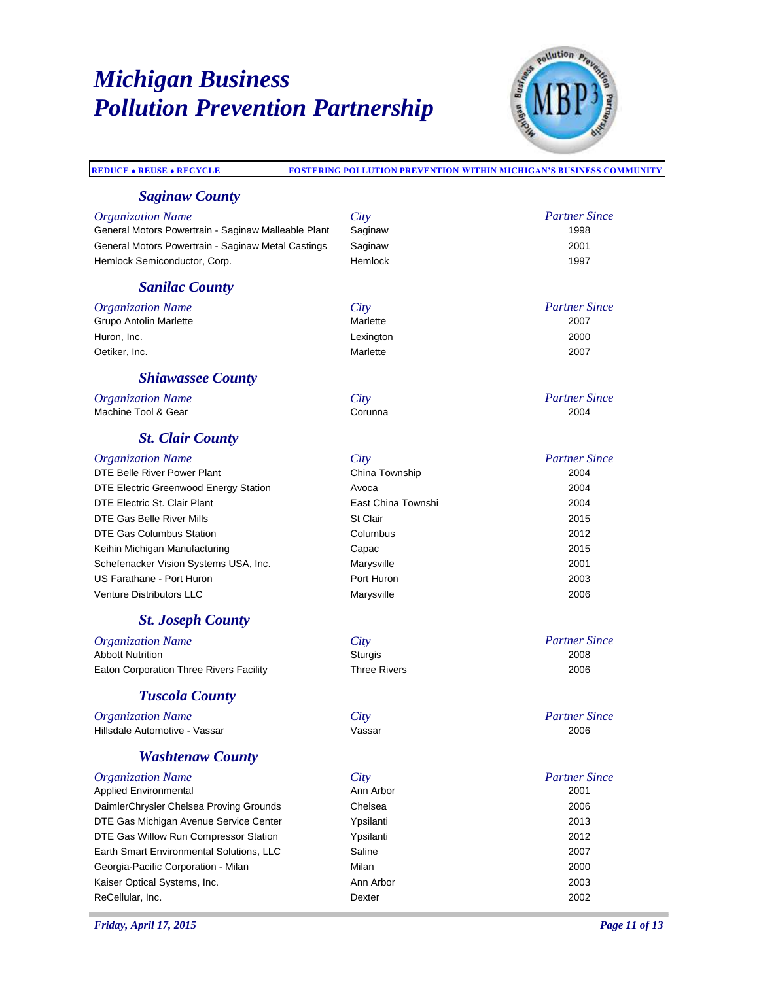

#### **REDUCE REUSE RECYCLE FOSTERING POLLUTION PREVENTION WITHIN MICHIGAN'S BUSINESS COMMUNITY** *Partner Since Saginaw County Organization Name City* General Motors Powertrain - Saginaw Malleable Plant Saginaw 1998 General Motors Powertrain - Saginaw Metal Castings Saginaw 2001 Hemlock Semiconductor, Corp. The Corp. Themlock 1997 *Partner Since Sanilac County Organization Name City* Grupo Antolin Marlette 2007 Huron, Inc. Lexington 2000 Oetiker, Inc. Marlette 2007 *Partner Since Shiawassee County Organization Name City* Machine Tool & Gear **Corunna** Corunna 2004 *Partner Since St. Clair County Organization Name City* DTE Belle River Power Plant DTE Electric Greenwood Energy Station **Avoca** Avoca **2004** 2004 DTE Electric St. Clair Plant East China Townshi 2004 DTE Gas Belle River Mills **St Clair** St Clair **St Clair** 2015 DTE Gas Columbus Station Columbus 2012 Keihin Michigan Manufacturing **Capac 2015** Capac **Capac 2015** Schefenacker Vision Systems USA, Inc. Marysville 2001 US Farathane - Port Huron Port Huron 2003 Venture Distributors LLC Marysville 2006 *Partner Since St. Joseph County Organization Name City* Abbott Nutrition 2008 Eaton Corporation Three Rivers Facility Three Rivers 2006 *Partner Since Tuscola County Organization Name City* Hillsdale Automotive - Vassar Vassar 2006 *Partner Since Washtenaw County Organization Name City* Applied Environmental **Ann Arbor** 2001 **Ann Arbor** 2001 DaimlerChrysler Chelsea Proving Grounds Chelsea 2006 DTE Gas Michigan Avenue Service Center Ypsilanti 2013 DTE Gas Willow Run Compressor Station Ypsilanti 2012 Earth Smart Environmental Solutions, LLC Saline 2007 Georgia-Pacific Corporation - Milan Milan Milan Milan 2000 Kaiser Optical Systems, Inc. **Ann Arbor** 2003 **Ann Arbor** 2003 ReCellular, Inc. Dexter 2002 *Friday, April 17, 2015 Page 11 of 13*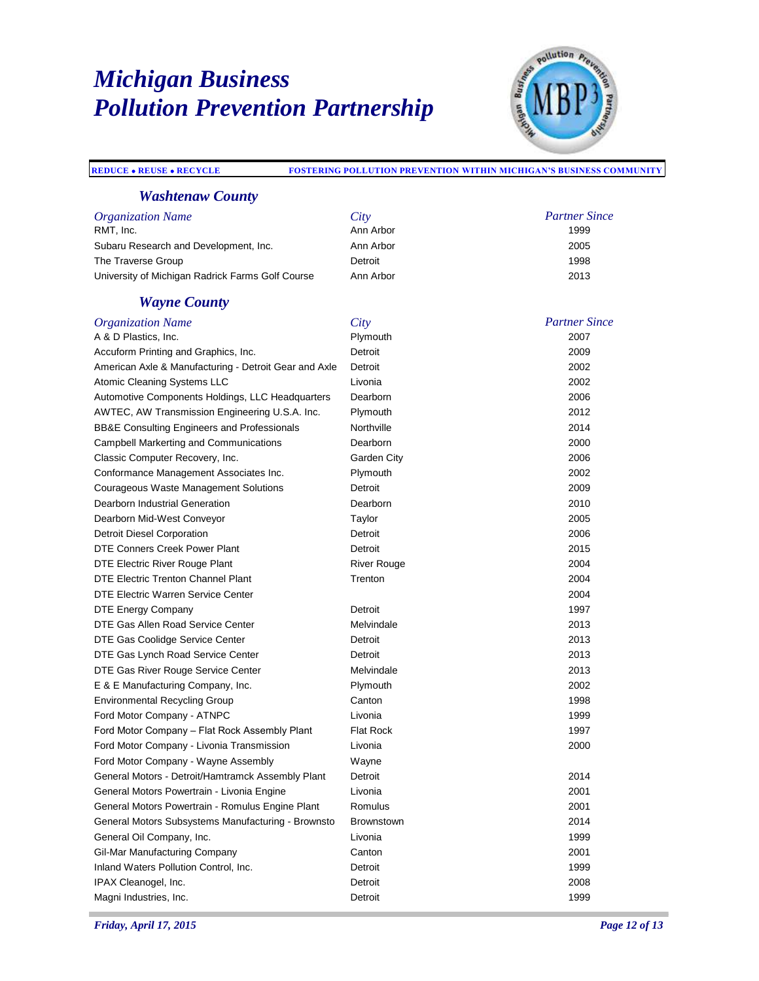

### **REDUCE REUSE RECYCLE FOSTERING POLLUTION PREVENTION WITHIN MICHIGAN'S BUSINESS COMMUNITY**

### *Washtenaw County*

| <i><b>Organization Name</b></i>                  | City      | <b>Partner Since</b> |
|--------------------------------------------------|-----------|----------------------|
| RMT. Inc.                                        | Ann Arbor | 1999                 |
| Subaru Research and Development, Inc.            | Ann Arbor | 2005                 |
| The Traverse Group                               | Detroit   | 1998                 |
| University of Michigan Radrick Farms Golf Course | Ann Arbor | 2013                 |

### *Wayne County*

| <b>Organization Name</b>                              | City               | <b>Partner Since</b> |
|-------------------------------------------------------|--------------------|----------------------|
| A & D Plastics, Inc.                                  | Plymouth           | 2007                 |
| Accuform Printing and Graphics, Inc.                  | Detroit            | 2009                 |
| American Axle & Manufacturing - Detroit Gear and Axle | Detroit            | 2002                 |
| Atomic Cleaning Systems LLC                           | Livonia            | 2002                 |
| Automotive Components Holdings, LLC Headquarters      | Dearborn           | 2006                 |
| AWTEC, AW Transmission Engineering U.S.A. Inc.        | Plymouth           | 2012                 |
| BB&E Consulting Engineers and Professionals           | Northville         | 2014                 |
| <b>Campbell Markerting and Communications</b>         | Dearborn           | 2000                 |
| Classic Computer Recovery, Inc.                       | Garden City        | 2006                 |
| Conformance Management Associates Inc.                | Plymouth           | 2002                 |
| Courageous Waste Management Solutions                 | Detroit            | 2009                 |
| Dearborn Industrial Generation                        | Dearborn           | 2010                 |
| Dearborn Mid-West Conveyor                            | Taylor             | 2005                 |
| <b>Detroit Diesel Corporation</b>                     | Detroit            | 2006                 |
| DTE Conners Creek Power Plant                         | Detroit            | 2015                 |
| DTE Electric River Rouge Plant                        | <b>River Rouge</b> | 2004                 |
| DTE Electric Trenton Channel Plant                    | Trenton            | 2004                 |
| DTE Electric Warren Service Center                    |                    | 2004                 |
| DTE Energy Company                                    | Detroit            | 1997                 |
| DTE Gas Allen Road Service Center                     | Melvindale         | 2013                 |
| DTE Gas Coolidge Service Center                       | Detroit            | 2013                 |
| DTE Gas Lynch Road Service Center                     | Detroit            | 2013                 |
| DTE Gas River Rouge Service Center                    | Melvindale         | 2013                 |
| E & E Manufacturing Company, Inc.                     | Plymouth           | 2002                 |
| <b>Environmental Recycling Group</b>                  | Canton             | 1998                 |
| Ford Motor Company - ATNPC                            | Livonia            | 1999                 |
| Ford Motor Company - Flat Rock Assembly Plant         | <b>Flat Rock</b>   | 1997                 |
| Ford Motor Company - Livonia Transmission             | Livonia            | 2000                 |
| Ford Motor Company - Wayne Assembly                   | Wayne              |                      |
| General Motors - Detroit/Hamtramck Assembly Plant     | Detroit            | 2014                 |
| General Motors Powertrain - Livonia Engine            | Livonia            | 2001                 |
| General Motors Powertrain - Romulus Engine Plant      | Romulus            | 2001                 |
| General Motors Subsystems Manufacturing - Brownsto    | <b>Brownstown</b>  | 2014                 |
| General Oil Company, Inc.                             | Livonia            | 1999                 |
| Gil-Mar Manufacturing Company                         | Canton             | 2001                 |
| Inland Waters Pollution Control, Inc.                 | Detroit            | 1999                 |
| IPAX Cleanogel, Inc.                                  | Detroit            | 2008                 |
| Magni Industries, Inc.                                | Detroit            | 1999                 |